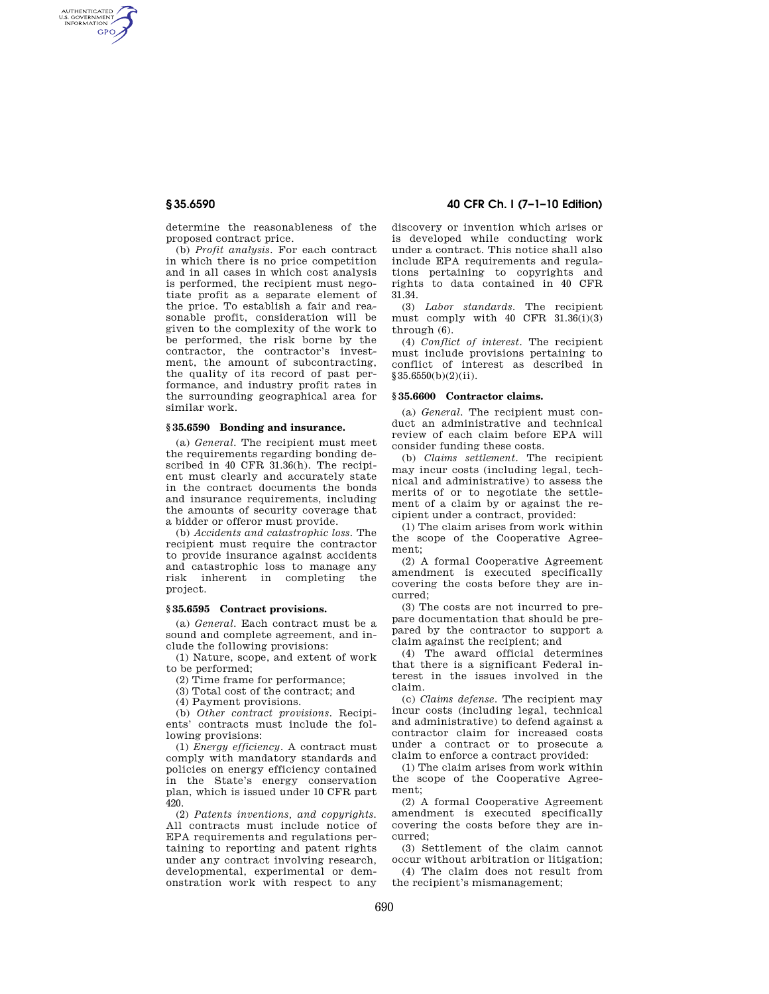AUTHENTICATED<br>U.S. GOVERNMENT<br>INFORMATION **GPO** 

**§ 35.6590 40 CFR Ch. I (7–1–10 Edition)** 

determine the reasonableness of the proposed contract price.

(b) *Profit analysis.* For each contract in which there is no price competition and in all cases in which cost analysis is performed, the recipient must negotiate profit as a separate element of the price. To establish a fair and reasonable profit, consideration will be given to the complexity of the work to be performed, the risk borne by the contractor, the contractor's investment, the amount of subcontracting, the quality of its record of past performance, and industry profit rates in the surrounding geographical area for similar work.

## **§ 35.6590 Bonding and insurance.**

(a) *General.* The recipient must meet the requirements regarding bonding described in 40 CFR 31.36(h). The recipient must clearly and accurately state in the contract documents the bonds and insurance requirements, including the amounts of security coverage that a bidder or offeror must provide.

(b) *Accidents and catastrophic loss.* The recipient must require the contractor to provide insurance against accidents and catastrophic loss to manage any risk inherent in completing the project.

# **§ 35.6595 Contract provisions.**

(a) *General.* Each contract must be a sound and complete agreement, and include the following provisions:

(1) Nature, scope, and extent of work to be performed;

(2) Time frame for performance;

(3) Total cost of the contract; and

(4) Payment provisions.

(b) *Other contract provisions.* Recipients' contracts must include the following provisions:

(1) *Energy efficiency.* A contract must comply with mandatory standards and policies on energy efficiency contained in the State's energy conservation plan, which is issued under 10 CFR part 420.

(2) *Patents inventions, and copyrights.*  All contracts must include notice of EPA requirements and regulations pertaining to reporting and patent rights under any contract involving research, developmental, experimental or demonstration work with respect to any

discovery or invention which arises or is developed while conducting work under a contract. This notice shall also include EPA requirements and regulations pertaining to copyrights and rights to data contained in 40 CFR 31.34.

(3) *Labor standards.* The recipient must comply with  $40$  CFR  $31.36(i)(3)$ through (6).

(4) *Conflict of interest.* The recipient must include provisions pertaining to conflict of interest as described in §35.6550(b)(2)(ii).

#### **§ 35.6600 Contractor claims.**

(a) *General.* The recipient must conduct an administrative and technical review of each claim before EPA will consider funding these costs.

(b) *Claims settlement.* The recipient may incur costs (including legal, technical and administrative) to assess the merits of or to negotiate the settlement of a claim by or against the recipient under a contract, provided:

(1) The claim arises from work within the scope of the Cooperative Agreement;

(2) A formal Cooperative Agreement amendment is executed specifically covering the costs before they are incurred;

(3) The costs are not incurred to prepare documentation that should be prepared by the contractor to support a claim against the recipient; and

(4) The award official determines that there is a significant Federal interest in the issues involved in the claim.

(c) *Claims defense.* The recipient may incur costs (including legal, technical and administrative) to defend against a contractor claim for increased costs under a contract or to prosecute a claim to enforce a contract provided:

(1) The claim arises from work within the scope of the Cooperative Agreement;

(2) A formal Cooperative Agreement amendment is executed specifically covering the costs before they are incurred;

(3) Settlement of the claim cannot occur without arbitration or litigation;

(4) The claim does not result from the recipient's mismanagement;